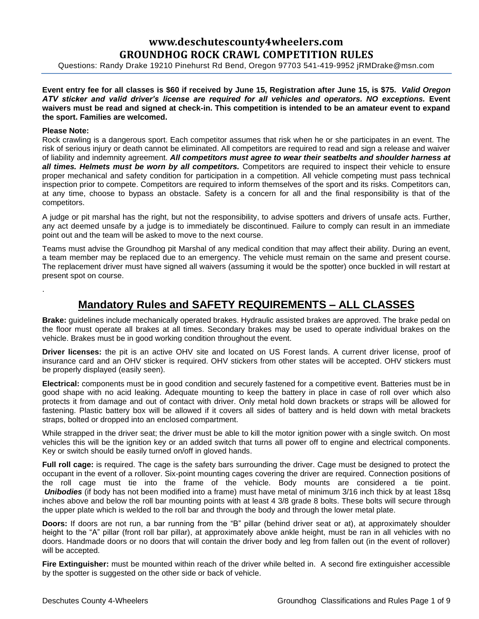# **www.deschutescounty4wheelers.com GROUNDHOG ROCK CRAWL COMPETITION RULES**

Questions: Randy Drake 19210 Pinehurst Rd Bend, Oregon 97703 541-419-9952 jRMDrake@msn.com

**Event entry fee for all classes is \$60 if received by June 15, Registration after June 15, is \$75.** *Valid Oregon ATV sticker and valid driver's license are required for all vehicles and operators. NO exceptions.* **Event waivers must be read and signed at check-in. This competition is intended to be an amateur event to expand the sport. Families are welcomed.**

#### **Please Note:**

.

Rock crawling is a dangerous sport. Each competitor assumes that risk when he or she participates in an event. The risk of serious injury or death cannot be eliminated. All competitors are required to read and sign a release and waiver of liability and indemnity agreement. *All competitors must agree to wear their seatbelts and shoulder harness at all times. Helmets must be worn by all competitors.* Competitors are required to inspect their vehicle to ensure proper mechanical and safety condition for participation in a competition. All vehicle competing must pass technical inspection prior to compete. Competitors are required to inform themselves of the sport and its risks. Competitors can, at any time, choose to bypass an obstacle. Safety is a concern for all and the final responsibility is that of the competitors.

A judge or pit marshal has the right, but not the responsibility, to advise spotters and drivers of unsafe acts. Further, any act deemed unsafe by a judge is to immediately be discontinued. Failure to comply can result in an immediate point out and the team will be asked to move to the next course.

Teams must advise the Groundhog pit Marshal of any medical condition that may affect their ability. During an event, a team member may be replaced due to an emergency. The vehicle must remain on the same and present course. The replacement driver must have signed all waivers (assuming it would be the spotter) once buckled in will restart at present spot on course.

# **Mandatory Rules and SAFETY REQUIREMENTS – ALL CLASSES**

**Brake:** guidelines include mechanically operated brakes. Hydraulic assisted brakes are approved. The brake pedal on the floor must operate all brakes at all times. Secondary brakes may be used to operate individual brakes on the vehicle. Brakes must be in good working condition throughout the event.

**Driver licenses:** the pit is an active OHV site and located on US Forest lands. A current driver license, proof of insurance card and an OHV sticker is required. OHV stickers from other states will be accepted. OHV stickers must be properly displayed (easily seen).

**Electrical:** components must be in good condition and securely fastened for a competitive event. Batteries must be in good shape with no acid leaking. Adequate mounting to keep the battery in place in case of roll over which also protects it from damage and out of contact with driver. Only metal hold down brackets or straps will be allowed for fastening. Plastic battery box will be allowed if it covers all sides of battery and is held down with metal brackets straps, bolted or dropped into an enclosed compartment.

While strapped in the driver seat; the driver must be able to kill the motor ignition power with a single switch. On most vehicles this will be the ignition key or an added switch that turns all power off to engine and electrical components. Key or switch should be easily turned on/off in gloved hands.

**Full roll cage:** is required. The cage is the safety bars surrounding the driver. Cage must be designed to protect the occupant in the event of a rollover. Six-point mounting cages covering the driver are required. Connection positions of the roll cage must tie into the frame of the vehicle. Body mounts are considered a tie point. *Unibodies* (if body has not been modified into a frame) must have metal of minimum 3/16 inch thick by at least 18sq inches above and below the roll bar mounting points with at least 4 3/8 grade 8 bolts. These bolts will secure through the upper plate which is welded to the roll bar and through the body and through the lower metal plate.

**Doors:** If doors are not run, a bar running from the "B" pillar (behind driver seat or at), at approximately shoulder height to the "A" pillar (front roll bar pillar), at approximately above ankle height, must be ran in all vehicles with no doors. Handmade doors or no doors that will contain the driver body and leg from fallen out (in the event of rollover) will be accepted.

**Fire Extinguisher:** must be mounted within reach of the driver while belted in. A second fire extinguisher accessible by the spotter is suggested on the other side or back of vehicle.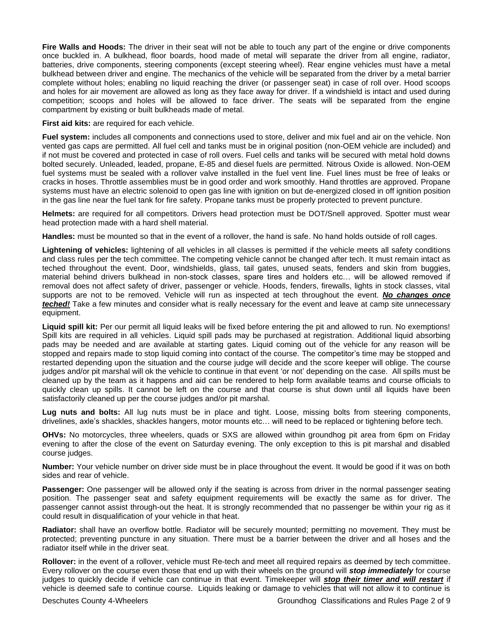**Fire Walls and Hoods:** The driver in their seat will not be able to touch any part of the engine or drive components once buckled in. A bulkhead, floor boards, hood made of metal will separate the driver from all engine, radiator, batteries, drive components, steering components (except steering wheel). Rear engine vehicles must have a metal bulkhead between driver and engine. The mechanics of the vehicle will be separated from the driver by a metal barrier complete without holes; enabling no liquid reaching the driver (or passenger seat) in case of roll over. Hood scoops and holes for air movement are allowed as long as they face away for driver. If a windshield is intact and used during competition; scoops and holes will be allowed to face driver. The seats will be separated from the engine compartment by existing or built bulkheads made of metal.

**First aid kits:** are required for each vehicle.

**Fuel system:** includes all components and connections used to store, deliver and mix fuel and air on the vehicle. Non vented gas caps are permitted. All fuel cell and tanks must be in original position (non-OEM vehicle are included) and if not must be covered and protected in case of roll overs. Fuel cells and tanks will be secured with metal hold downs bolted securely. Unleaded, leaded, propane, E-85 and diesel fuels are permitted. Nitrous Oxide is allowed. Non-OEM fuel systems must be sealed with a rollover valve installed in the fuel vent line. Fuel lines must be free of leaks or cracks in hoses. Throttle assemblies must be in good order and work smoothly. Hand throttles are approved. Propane systems must have an electric solenoid to open gas line with ignition on but de-energized closed in off ignition position in the gas line near the fuel tank for fire safety. Propane tanks must be properly protected to prevent puncture.

**Helmets:** are required for all competitors. Drivers head protection must be DOT/Snell approved. Spotter must wear head protection made with a hard shell material.

**Handles:** must be mounted so that in the event of a rollover, the hand is safe. No hand holds outside of roll cages.

**Lightening of vehicles:** lightening of all vehicles in all classes is permitted if the vehicle meets all safety conditions and class rules per the tech committee. The competing vehicle cannot be changed after tech. It must remain intact as teched throughout the event. Door, windshields, glass, tail gates, unused seats, fenders and skin from buggies, material behind drivers bulkhead in non-stock classes, spare tires and holders etc… will be allowed removed if removal does not affect safety of driver, passenger or vehicle. Hoods, fenders, firewalls, lights in stock classes, vital supports are not to be removed. Vehicle will run as inspected at tech throughout the event. *No changes once teched!* Take a few minutes and consider what is really necessary for the event and leave at camp site unnecessary equipment.

**Liquid spill kit:** Per our permit all liquid leaks will be fixed before entering the pit and allowed to run. No exemptions! Spill kits are required in all vehicles. Liquid spill pads may be purchased at registration. Additional liquid absorbing pads may be needed and are available at starting gates. Liquid coming out of the vehicle for any reason will be stopped and repairs made to stop liquid coming into contact of the course. The competitor's time may be stopped and restarted depending upon the situation and the course judge will decide and the score keeper will oblige. The course judges and/or pit marshal will ok the vehicle to continue in that event 'or not' depending on the case. All spills must be cleaned up by the team as it happens and aid can be rendered to help form available teams and course officials to quickly clean up spills. It cannot be left on the course and that course is shut down until all liquids have been satisfactorily cleaned up per the course judges and/or pit marshal.

**Lug nuts and bolts:** All lug nuts must be in place and tight. Loose, missing bolts from steering components, drivelines, axle's shackles, shackles hangers, motor mounts etc… will need to be replaced or tightening before tech.

**OHVs:** No motorcycles, three wheelers, quads or SXS are allowed within groundhog pit area from 6pm on Friday evening to after the close of the event on Saturday evening. The only exception to this is pit marshal and disabled course judges.

**Number:** Your vehicle number on driver side must be in place throughout the event. It would be good if it was on both sides and rear of vehicle.

**Passenger:** One passenger will be allowed only if the seating is across from driver in the normal passenger seating position. The passenger seat and safety equipment requirements will be exactly the same as for driver. The passenger cannot assist through-out the heat. It is strongly recommended that no passenger be within your rig as it could result in disqualification of your vehicle in that heat.

**Radiator:** shall have an overflow bottle. Radiator will be securely mounted; permitting no movement. They must be protected; preventing puncture in any situation. There must be a barrier between the driver and all hoses and the radiator itself while in the driver seat.

**Rollover:** in the event of a rollover, vehicle must Re-tech and meet all required repairs as deemed by tech committee. Every rollover on the course even those that end up with their wheels on the ground will *stop immediately* for course judges to quickly decide if vehicle can continue in that event. Timekeeper will *stop their timer and will restart* if vehicle is deemed safe to continue course. Liquids leaking or damage to vehicles that will not allow it to continue is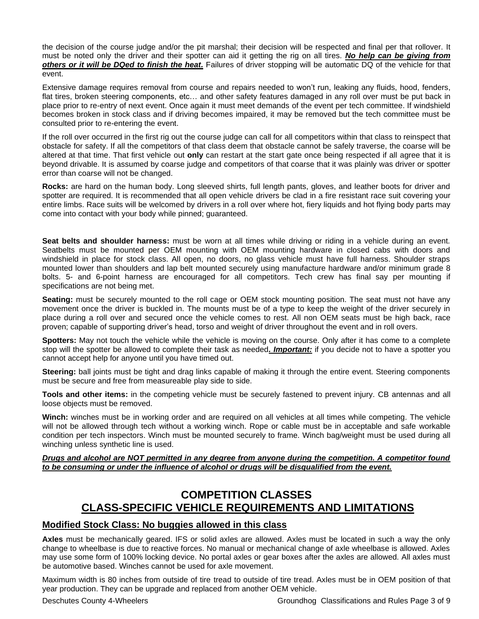the decision of the course judge and/or the pit marshal; their decision will be respected and final per that rollover. It must be noted only the driver and their spotter can aid it getting the rig on all tires. *No help can be giving from others or it will be DQed to finish the heat.* Failures of driver stopping will be automatic DQ of the vehicle for that event.

Extensive damage requires removal from course and repairs needed to won't run, leaking any fluids, hood, fenders, flat tires, broken steering components, etc… and other safety features damaged in any roll over must be put back in place prior to re-entry of next event. Once again it must meet demands of the event per tech committee. If windshield becomes broken in stock class and if driving becomes impaired, it may be removed but the tech committee must be consulted prior to re-entering the event.

If the roll over occurred in the first rig out the course judge can call for all competitors within that class to reinspect that obstacle for safety. If all the competitors of that class deem that obstacle cannot be safely traverse, the coarse will be altered at that time. That first vehicle out **only** can restart at the start gate once being respected if all agree that it is beyond drivable. It is assumed by coarse judge and competitors of that coarse that it was plainly was driver or spotter error than coarse will not be changed.

**Rocks:** are hard on the human body. Long sleeved shirts, full length pants, gloves, and leather boots for driver and spotter are required. It is recommended that all open vehicle drivers be clad in a fire resistant race suit covering your entire limbs. Race suits will be welcomed by drivers in a roll over where hot, fiery liquids and hot flying body parts may come into contact with your body while pinned; guaranteed.

**Seat belts and shoulder harness:** must be worn at all times while driving or riding in a vehicle during an event. Seatbelts must be mounted per OEM mounting with OEM mounting hardware in closed cabs with doors and windshield in place for stock class. All open, no doors, no glass vehicle must have full harness. Shoulder straps mounted lower than shoulders and lap belt mounted securely using manufacture hardware and/or minimum grade 8 bolts. 5- and 6-point harness are encouraged for all competitors. Tech crew has final say per mounting if specifications are not being met.

**Seating:** must be securely mounted to the roll cage or OEM stock mounting position. The seat must not have any movement once the driver is buckled in. The mounts must be of a type to keep the weight of the driver securely in place during a roll over and secured once the vehicle comes to rest. All non OEM seats must be high back, race proven; capable of supporting driver's head, torso and weight of driver throughout the event and in roll overs.

**Spotters:** May not touch the vehicle while the vehicle is moving on the course. Only after it has come to a complete stop will the spotter be allowed to complete their task as needed*. Important:* if you decide not to have a spotter you cannot accept help for anyone until you have timed out.

**Steering:** ball joints must be tight and drag links capable of making it through the entire event. Steering components must be secure and free from measureable play side to side.

**Tools and other items:** in the competing vehicle must be securely fastened to prevent injury. CB antennas and all loose objects must be removed.

**Winch:** winches must be in working order and are required on all vehicles at all times while competing. The vehicle will not be allowed through tech without a working winch. Rope or cable must be in acceptable and safe workable condition per tech inspectors. Winch must be mounted securely to frame. Winch bag/weight must be used during all winching unless synthetic line is used.

# *Drugs and alcohol are NOT permitted in any degree from anyone during the competition. A competitor found to be consuming or under the influence of alcohol or drugs will be disqualified from the event.*

# **COMPETITION CLASSES CLASS-SPECIFIC VEHICLE REQUIREMENTS AND LIMITATIONS**

# **Modified Stock Class: No buggies allowed in this class**

**Axles** must be mechanically geared. IFS or solid axles are allowed. Axles must be located in such a way the only change to wheelbase is due to reactive forces. No manual or mechanical change of axle wheelbase is allowed. Axles may use some form of 100% locking device. No portal axles or gear boxes after the axles are allowed. All axles must be automotive based. Winches cannot be used for axle movement.

Maximum width is 80 inches from outside of tire tread to outside of tire tread. Axles must be in OEM position of that year production. They can be upgrade and replaced from another OEM vehicle.

Deschutes County 4-Wheelers Groundhog Classifications and Rules Page 3 of 9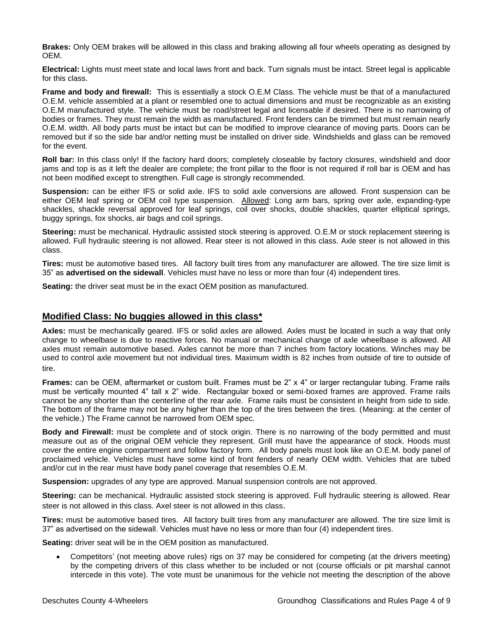**Brakes:** Only OEM brakes will be allowed in this class and braking allowing all four wheels operating as designed by OEM.

**Electrical:** Lights must meet state and local laws front and back. Turn signals must be intact. Street legal is applicable for this class.

**Frame and body and firewall:** This is essentially a stock O.E.M Class. The vehicle must be that of a manufactured O.E.M. vehicle assembled at a plant or resembled one to actual dimensions and must be recognizable as an existing O.E.M manufactured style. The vehicle must be road/street legal and licensable if desired. There is no narrowing of bodies or frames. They must remain the width as manufactured. Front fenders can be trimmed but must remain nearly O.E.M. width. All body parts must be intact but can be modified to improve clearance of moving parts. Doors can be removed but if so the side bar and/or netting must be installed on driver side. Windshields and glass can be removed for the event.

**Roll bar:** In this class only! If the factory hard doors; completely closeable by factory closures, windshield and door jams and top is as it left the dealer are complete; the front pillar to the floor is not required if roll bar is OEM and has not been modified except to strengthen. Full cage is strongly recommended.

**Suspension:** can be either IFS or solid axle. IFS to solid axle conversions are allowed. Front suspension can be either OEM leaf spring or OEM coil type suspension. Allowed: Long arm bars, spring over axle, expanding-type shackles, shackle reversal approved for leaf springs, coil over shocks, double shackles, quarter elliptical springs, buggy springs, fox shocks, air bags and coil springs.

**Steering:** must be mechanical. Hydraulic assisted stock steering is approved. O.E.M or stock replacement steering is allowed. Full hydraulic steering is not allowed. Rear steer is not allowed in this class. Axle steer is not allowed in this class.

**Tires:** must be automotive based tires. All factory built tires from any manufacturer are allowed. The tire size limit is 35" as **advertised on the sidewall**. Vehicles must have no less or more than four (4) independent tires.

**Seating:** the driver seat must be in the exact OEM position as manufactured.

# **Modified Class: No buggies allowed in this class\***

**Axles:** must be mechanically geared. IFS or solid axles are allowed. Axles must be located in such a way that only change to wheelbase is due to reactive forces. No manual or mechanical change of axle wheelbase is allowed. All axles must remain automotive based. Axles cannot be more than 7 inches from factory locations. Winches may be used to control axle movement but not individual tires. Maximum width is 82 inches from outside of tire to outside of tire.

**Frames:** can be OEM, aftermarket or custom built. Frames must be 2" x 4" or larger rectangular tubing. Frame rails must be vertically mounted 4" tall x 2" wide. Rectangular boxed or semi-boxed frames are approved. Frame rails cannot be any shorter than the centerline of the rear axle. Frame rails must be consistent in height from side to side. The bottom of the frame may not be any higher than the top of the tires between the tires. (Meaning: at the center of the vehicle.) The Frame cannot be narrowed from OEM spec.

**Body and Firewall:** must be complete and of stock origin. There is no narrowing of the body permitted and must measure out as of the original OEM vehicle they represent. Grill must have the appearance of stock. Hoods must cover the entire engine compartment and follow factory form. All body panels must look like an O.E.M. body panel of proclaimed vehicle. Vehicles must have some kind of front fenders of nearly OEM width. Vehicles that are tubed and/or cut in the rear must have body panel coverage that resembles O.E.M.

**Suspension:** upgrades of any type are approved. Manual suspension controls are not approved.

**Steering:** can be mechanical. Hydraulic assisted stock steering is approved. Full hydraulic steering is allowed. Rear steer is not allowed in this class. Axel steer is not allowed in this class.

**Tires:** must be automotive based tires. All factory built tires from any manufacturer are allowed. The tire size limit is 37" as advertised on the sidewall. Vehicles must have no less or more than four (4) independent tires.

**Seating:** driver seat will be in the OEM position as manufactured.

• Competitors' (not meeting above rules) rigs on 37 may be considered for competing (at the drivers meeting) by the competing drivers of this class whether to be included or not (course officials or pit marshal cannot intercede in this vote). The vote must be unanimous for the vehicle not meeting the description of the above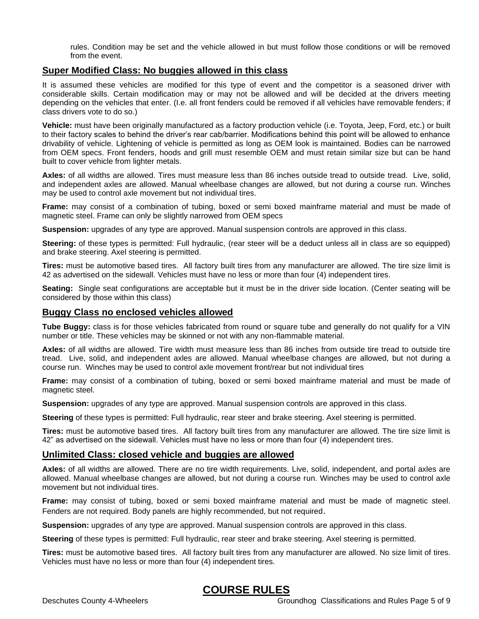rules. Condition may be set and the vehicle allowed in but must follow those conditions or will be removed from the event.

# **Super Modified Class: No buggies allowed in this class**

It is assumed these vehicles are modified for this type of event and the competitor is a seasoned driver with considerable skills. Certain modification may or may not be allowed and will be decided at the drivers meeting depending on the vehicles that enter. (I.e. all front fenders could be removed if all vehicles have removable fenders; if class drivers vote to do so.)

**Vehicle:** must have been originally manufactured as a factory production vehicle (i.e. Toyota, Jeep, Ford, etc.) or built to their factory scales to behind the driver's rear cab/barrier. Modifications behind this point will be allowed to enhance drivability of vehicle. Lightening of vehicle is permitted as long as OEM look is maintained. Bodies can be narrowed from OEM specs. Front fenders, hoods and grill must resemble OEM and must retain similar size but can be hand built to cover vehicle from lighter metals.

**Axles:** of all widths are allowed. Tires must measure less than 86 inches outside tread to outside tread. Live, solid, and independent axles are allowed. Manual wheelbase changes are allowed, but not during a course run. Winches may be used to control axle movement but not individual tires.

**Frame:** may consist of a combination of tubing, boxed or semi boxed mainframe material and must be made of magnetic steel. Frame can only be slightly narrowed from OEM specs

**Suspension:** upgrades of any type are approved. Manual suspension controls are approved in this class.

**Steering:** of these types is permitted: Full hydraulic, (rear steer will be a deduct unless all in class are so equipped) and brake steering. Axel steering is permitted.

**Tires:** must be automotive based tires. All factory built tires from any manufacturer are allowed. The tire size limit is 42 as advertised on the sidewall. Vehicles must have no less or more than four (4) independent tires.

**Seating:** Single seat configurations are acceptable but it must be in the driver side location. (Center seating will be considered by those within this class)

# **Buggy Class no enclosed vehicles allowed**

**Tube Buggy:** class is for those vehicles fabricated from round or square tube and generally do not qualify for a VIN number or title. These vehicles may be skinned or not with any non-flammable material.

**Axles:** of all widths are allowed. Tire width must measure less than 86 inches from outside tire tread to outside tire tread. Live, solid, and independent axles are allowed. Manual wheelbase changes are allowed, but not during a course run. Winches may be used to control axle movement front/rear but not individual tires

**Frame:** may consist of a combination of tubing, boxed or semi boxed mainframe material and must be made of magnetic steel.

**Suspension:** upgrades of any type are approved. Manual suspension controls are approved in this class.

**Steering** of these types is permitted: Full hydraulic, rear steer and brake steering. Axel steering is permitted.

**Tires:** must be automotive based tires. All factory built tires from any manufacturer are allowed. The tire size limit is 42" as advertised on the sidewall. Vehicles must have no less or more than four (4) independent tires.

# **Unlimited Class: closed vehicle and buggies are allowed**

**Axles:** of all widths are allowed. There are no tire width requirements. Live, solid, independent, and portal axles are allowed. Manual wheelbase changes are allowed, but not during a course run. Winches may be used to control axle movement but not individual tires.

**Frame:** may consist of tubing, boxed or semi boxed mainframe material and must be made of magnetic steel. Fenders are not required. Body panels are highly recommended, but not required.

**Suspension:** upgrades of any type are approved. Manual suspension controls are approved in this class.

**Steering** of these types is permitted: Full hydraulic, rear steer and brake steering. Axel steering is permitted.

**Tires:** must be automotive based tires. All factory built tires from any manufacturer are allowed. No size limit of tires. Vehicles must have no less or more than four (4) independent tires.

# **COURSE RULES**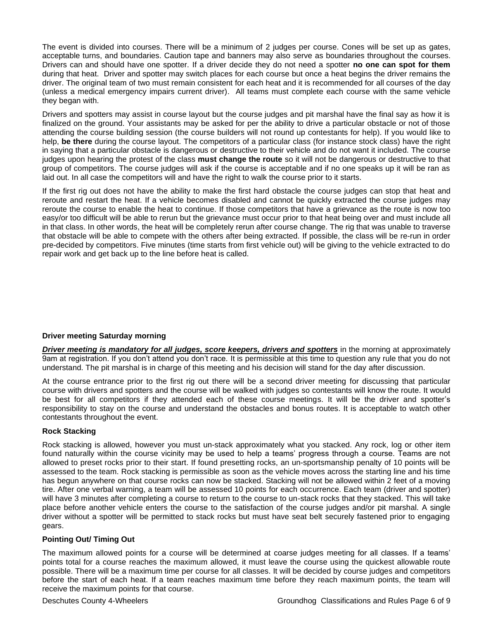The event is divided into courses. There will be a minimum of 2 judges per course. Cones will be set up as gates, acceptable turns, and boundaries. Caution tape and banners may also serve as boundaries throughout the courses. Drivers can and should have one spotter. If a driver decide they do not need a spotter **no one can spot for them** during that heat. Driver and spotter may switch places for each course but once a heat begins the driver remains the driver. The original team of two must remain consistent for each heat and it is recommended for all courses of the day (unless a medical emergency impairs current driver). All teams must complete each course with the same vehicle they began with.

Drivers and spotters may assist in course layout but the course judges and pit marshal have the final say as how it is finalized on the ground. Your assistants may be asked for per the ability to drive a particular obstacle or not of those attending the course building session (the course builders will not round up contestants for help). If you would like to help, **be there** during the course layout. The competitors of a particular class (for instance stock class) have the right in saying that a particular obstacle is dangerous or destructive to their vehicle and do not want it included. The course judges upon hearing the protest of the class **must change the route** so it will not be dangerous or destructive to that group of competitors. The course judges will ask if the course is acceptable and if no one speaks up it will be ran as laid out. In all case the competitors will and have the right to walk the course prior to it starts.

If the first rig out does not have the ability to make the first hard obstacle the course judges can stop that heat and reroute and restart the heat. If a vehicle becomes disabled and cannot be quickly extracted the course judges may reroute the course to enable the heat to continue. If those competitors that have a grievance as the route is now too easy/or too difficult will be able to rerun but the grievance must occur prior to that heat being over and must include all in that class. In other words, the heat will be completely rerun after course change. The rig that was unable to traverse that obstacle will be able to compete with the others after being extracted. If possible, the class will be re-run in order pre-decided by competitors. Five minutes (time starts from first vehicle out) will be giving to the vehicle extracted to do repair work and get back up to the line before heat is called.

# **Driver meeting Saturday morning**

*Driver meeting is mandatory for all judges, score keepers, drivers and spotters* in the morning at approximately 9am at registration. If you don't attend you don't race. It is permissible at this time to question any rule that you do not understand. The pit marshal is in charge of this meeting and his decision will stand for the day after discussion.

At the course entrance prior to the first rig out there will be a second driver meeting for discussing that particular course with drivers and spotters and the course will be walked with judges so contestants will know the route. It would be best for all competitors if they attended each of these course meetings. It will be the driver and spotter's responsibility to stay on the course and understand the obstacles and bonus routes. It is acceptable to watch other contestants throughout the event.

# **Rock Stacking**

Rock stacking is allowed, however you must un-stack approximately what you stacked. Any rock, log or other item found naturally within the course vicinity may be used to help a teams' progress through a course. Teams are not allowed to preset rocks prior to their start. If found presetting rocks, an un-sportsmanship penalty of 10 points will be assessed to the team. Rock stacking is permissible as soon as the vehicle moves across the starting line and his time has begun anywhere on that course rocks can now be stacked. Stacking will not be allowed within 2 feet of a moving tire. After one verbal warning, a team will be assessed 10 points for each occurrence. Each team (driver and spotter) will have 3 minutes after completing a course to return to the course to un-stack rocks that they stacked. This will take place before another vehicle enters the course to the satisfaction of the course judges and/or pit marshal. A single driver without a spotter will be permitted to stack rocks but must have seat belt securely fastened prior to engaging gears.

# **Pointing Out/ Timing Out**

The maximum allowed points for a course will be determined at coarse judges meeting for all classes. If a teams' points total for a course reaches the maximum allowed, it must leave the course using the quickest allowable route possible. There will be a maximum time per course for all classes. It will be decided by course judges and competitors before the start of each heat. If a team reaches maximum time before they reach maximum points, the team will receive the maximum points for that course.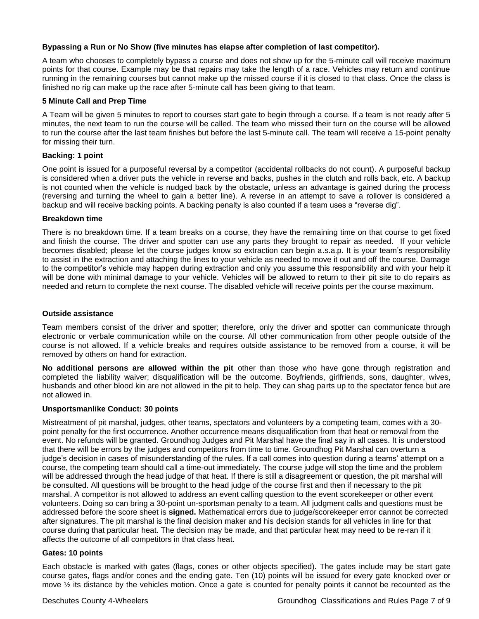# **Bypassing a Run or No Show (five minutes has elapse after completion of last competitor).**

A team who chooses to completely bypass a course and does not show up for the 5-minute call will receive maximum points for that course. Example may be that repairs may take the length of a race. Vehicles may return and continue running in the remaining courses but cannot make up the missed course if it is closed to that class. Once the class is finished no rig can make up the race after 5-minute call has been giving to that team.

# **5 Minute Call and Prep Time**

A Team will be given 5 minutes to report to courses start gate to begin through a course. If a team is not ready after 5 minutes, the next team to run the course will be called. The team who missed their turn on the course will be allowed to run the course after the last team finishes but before the last 5-minute call. The team will receive a 15-point penalty for missing their turn.

# **Backing: 1 point**

One point is issued for a purposeful reversal by a competitor (accidental rollbacks do not count). A purposeful backup is considered when a driver puts the vehicle in reverse and backs, pushes in the clutch and rolls back, etc. A backup is not counted when the vehicle is nudged back by the obstacle, unless an advantage is gained during the process (reversing and turning the wheel to gain a better line). A reverse in an attempt to save a rollover is considered a backup and will receive backing points. A backing penalty is also counted if a team uses a "reverse dig".

# **Breakdown time**

There is no breakdown time. If a team breaks on a course, they have the remaining time on that course to get fixed and finish the course. The driver and spotter can use any parts they brought to repair as needed. If your vehicle becomes disabled; please let the course judges know so extraction can begin a.s.a.p. It is your team's responsibility to assist in the extraction and attaching the lines to your vehicle as needed to move it out and off the course. Damage to the competitor's vehicle may happen during extraction and only you assume this responsibility and with your help it will be done with minimal damage to your vehicle. Vehicles will be allowed to return to their pit site to do repairs as needed and return to complete the next course. The disabled vehicle will receive points per the course maximum.

# **Outside assistance**

Team members consist of the driver and spotter; therefore, only the driver and spotter can communicate through electronic or verbale communication while on the course. All other communication from other people outside of the course is not allowed. If a vehicle breaks and requires outside assistance to be removed from a course, it will be removed by others on hand for extraction.

**No additional persons are allowed within the pit** other than those who have gone through registration and completed the liability waiver; disqualification will be the outcome. Boyfriends, girlfriends, sons, daughter, wives, husbands and other blood kin are not allowed in the pit to help. They can shag parts up to the spectator fence but are not allowed in.

# **Unsportsmanlike Conduct: 30 points**

Mistreatment of pit marshal, judges, other teams, spectators and volunteers by a competing team, comes with a 30 point penalty for the first occurrence. Another occurrence means disqualification from that heat or removal from the event. No refunds will be granted. Groundhog Judges and Pit Marshal have the final say in all cases. It is understood that there will be errors by the judges and competitors from time to time. Groundhog Pit Marshal can overturn a judge's decision in cases of misunderstanding of the rules. If a call comes into question during a teams' attempt on a course, the competing team should call a time-out immediately. The course judge will stop the time and the problem will be addressed through the head judge of that heat. If there is still a disagreement or question, the pit marshal will be consulted. All questions will be brought to the head judge of the course first and then if necessary to the pit marshal. A competitor is not allowed to address an event calling question to the event scorekeeper or other event volunteers. Doing so can bring a 30-point un-sportsman penalty to a team. All judgment calls and questions must be addressed before the score sheet is **signed.** Mathematical errors due to judge/scorekeeper error cannot be corrected after signatures. The pit marshal is the final decision maker and his decision stands for all vehicles in line for that course during that particular heat. The decision may be made, and that particular heat may need to be re-ran if it affects the outcome of all competitors in that class heat.

# **Gates: 10 points**

Each obstacle is marked with gates (flags, cones or other objects specified). The gates include may be start gate course gates, flags and/or cones and the ending gate. Ten (10) points will be issued for every gate knocked over or move ½ its distance by the vehicles motion. Once a gate is counted for penalty points it cannot be recounted as the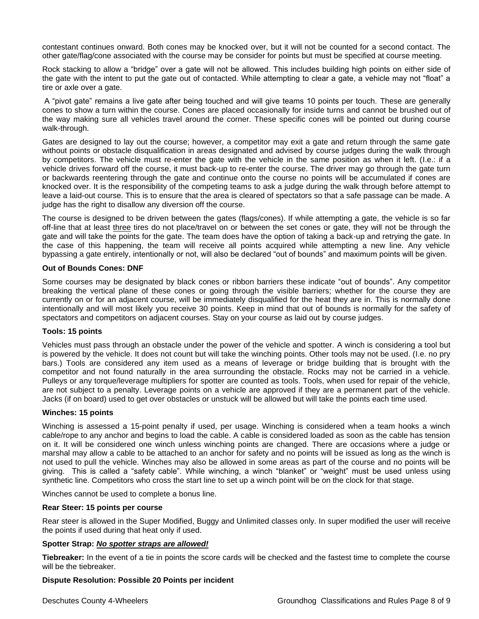contestant continues onward. Both cones may be knocked over, but it will not be counted for a second contact. The other gate/flag/cone associated with the course may be consider for points but must be specified at course meeting.

Rock stacking to allow a "bridge" over a gate will not be allowed. This includes building high points on either side of the gate with the intent to put the gate out of contacted. While attempting to clear a gate, a vehicle may not "float" a tire or axle over a gate.

A "pivot gate" remains a live gate after being touched and will give teams 10 points per touch. These are generally cones to show a turn within the course. Cones are placed occasionally for inside turns and cannot be brushed out of the way making sure all vehicles travel around the corner. These specific cones will be pointed out during course walk-through.

Gates are designed to lay out the course; however, a competitor may exit a gate and return through the same gate without points or obstacle disqualification in areas designated and advised by course judges during the walk through by competitors. The vehicle must re-enter the gate with the vehicle in the same position as when it left. (I.e.: if a vehicle drives forward off the course, it must back-up to re-enter the course. The driver may go through the gate turn or backwards reentering through the gate and continue onto the course no points will be accumulated if cones are knocked over. It is the responsibility of the competing teams to ask a judge during the walk through before attempt to leave a laid-out course. This is to ensure that the area is cleared of spectators so that a safe passage can be made. A judge has the right to disallow any diversion off the course.

The course is designed to be driven between the gates (flags/cones). If while attempting a gate, the vehicle is so far off-line that at least three tires do not place/travel on or between the set cones or gate, they will not be through the gate and will take the points for the gate. The team does have the option of taking a back-up and retrying the gate. In the case of this happening, the team will receive all points acquired while attempting a new line. Any vehicle bypassing a gate entirely, intentionally or not, will also be declared "out of bounds" and maximum points will be given.

# **Out of Bounds Cones: DNF**

Some courses may be designated by black cones or ribbon barriers these indicate "out of bounds". Any competitor breaking the vertical plane of these cones or going through the visible barriers; whether for the course they are currently on or for an adjacent course, will be immediately disqualified for the heat they are in. This is normally done intentionally and will most likely you receive 30 points. Keep in mind that out of bounds is normally for the safety of spectators and competitors on adjacent courses. Stay on your course as laid out by course judges.

# **Tools: 15 points**

Vehicles must pass through an obstacle under the power of the vehicle and spotter. A winch is considering a tool but is powered by the vehicle. It does not count but will take the winching points. Other tools may not be used. (I.e. no pry bars.) Tools are considered any item used as a means of leverage or bridge building that is brought with the competitor and not found naturally in the area surrounding the obstacle. Rocks may not be carried in a vehicle. Pulleys or any torque/leverage multipliers for spotter are counted as tools. Tools, when used for repair of the vehicle, are not subject to a penalty. Leverage points on a vehicle are approved if they are a permanent part of the vehicle. Jacks (if on board) used to get over obstacles or unstuck will be allowed but will take the points each time used.

# **Winches: 15 points**

Winching is assessed a 15-point penalty if used, per usage. Winching is considered when a team hooks a winch cable/rope to any anchor and begins to load the cable. A cable is considered loaded as soon as the cable has tension on it. It will be considered one winch unless winching points are changed. There are occasions where a judge or marshal may allow a cable to be attached to an anchor for safety and no points will be issued as long as the winch is not used to pull the vehicle. Winches may also be allowed in some areas as part of the course and no points will be giving. This is called a "safety cable". While winching, a winch "blanket" or "weight" must be used unless using synthetic line. Competitors who cross the start line to set up a winch point will be on the clock for that stage.

Winches cannot be used to complete a bonus line.

#### **Rear Steer: 15 points per course**

Rear steer is allowed in the Super Modified, Buggy and Unlimited classes only. In super modified the user will receive the points if used during that heat only if used.

# **Spotter Strap:** *No spotter straps are allowed!*

**Tiebreaker:** In the event of a tie in points the score cards will be checked and the fastest time to complete the course will be the tiebreaker.

# **Dispute Resolution: Possible 20 Points per incident**